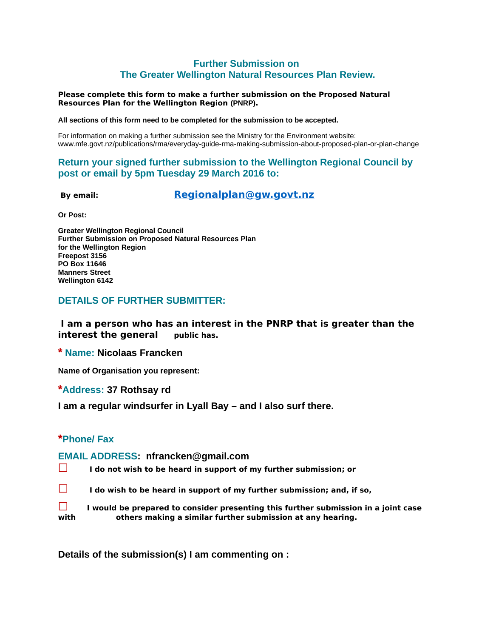### **Further Submission on The Greater Wellington Natural Resources Plan Review.**

#### **Please complete this form to make a further submission on the Proposed Natural Resources Plan for the Wellington Region (PNRP).**

**All sections of this form need to be completed for the submission to be accepted.**

For information on making a further submission see the Ministry for the Environment website: www.mfe.govt.nz/publications/rma/everyday-guide-rma-making-submission-about-proposed-plan-or-plan-change

#### **Return your signed further submission to the Wellington Regional Council by post or email by 5pm Tuesday 29 March 2016 to:**

 **By email: [Regionalplan@gw.govt.nz](mailto:Regionalplan@gw.govt.nz)**

**Or Post:**

**Greater Wellington Regional Council Further Submission on Proposed Natural Resources Plan for the Wellington Region Freepost 3156 PO Box 11646 Manners Street Wellington 6142**

#### **DETAILS OF FURTHER SUBMITTER:**

**I am a person who has an interest in the PNRP that is greater than the interest the general** public has.

**\* Name: Nicolaas Francken**

**Name of Organisation you represent:**

**\*Address: 37 Rothsay rd**

**I am a regular windsurfer in Lyall Bay – and I also surf there.** 

#### **\*Phone/ Fax**

#### **EMAIL ADDRESS: nfrancken@gmail.com**

- **☐ I do not wish to be heard in support of my further submission; or**
- **☐ I do wish to be heard in support of my further submission; and, if so,**

**☐ I would be prepared to consider presenting this further submission in a joint case with others making a similar further submission at any hearing.**

**Details of the submission(s) I am commenting on :**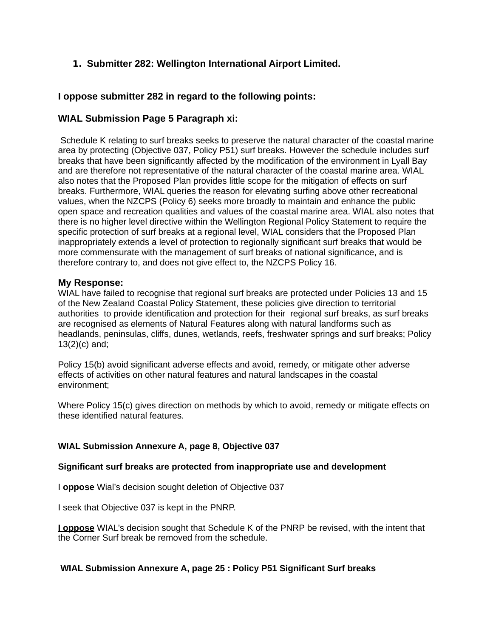## **1. Submitter 282: Wellington International Airport Limited.**

### **I oppose submitter 282 in regard to the following points:**

### **WIAL Submission Page 5 Paragraph xi:**

Schedule K relating to surf breaks seeks to preserve the natural character of the coastal marine area by protecting (Objective 037, Policy P51) surf breaks. However the schedule includes surf breaks that have been significantly affected by the modification of the environment in Lyall Bay and are therefore not representative of the natural character of the coastal marine area. WIAL also notes that the Proposed Plan provides little scope for the mitigation of effects on surf breaks. Furthermore, WIAL queries the reason for elevating surfing above other recreational values, when the NZCPS (Policy 6) seeks more broadly to maintain and enhance the public open space and recreation qualities and values of the coastal marine area. WIAL also notes that there is no higher level directive within the Wellington Regional Policy Statement to require the specific protection of surf breaks at a regional level, WIAL considers that the Proposed Plan inappropriately extends a level of protection to regionally significant surf breaks that would be more commensurate with the management of surf breaks of national significance, and is therefore contrary to, and does not give effect to, the NZCPS Policy 16.

### **My Response:**

WIAL have failed to recognise that regional surf breaks are protected under Policies 13 and 15 of the New Zealand Coastal Policy Statement, these policies give direction to territorial authorities to provide identification and protection for their regional surf breaks, as surf breaks are recognised as elements of Natural Features along with natural landforms such as headlands, peninsulas, cliffs, dunes, wetlands, reefs, freshwater springs and surf breaks; Policy 13(2)(c) and;

Policy 15(b) avoid significant adverse effects and avoid, remedy, or mitigate other adverse effects of activities on other natural features and natural landscapes in the coastal environment;

Where Policy 15(c) gives direction on methods by which to avoid, remedy or mitigate effects on these identified natural features.

### **WIAL Submission Annexure A, page 8, Objective 037**

### **Significant surf breaks are protected from inappropriate use and development**

I **oppose** Wial's decision sought deletion of Objective 037

I seek that Objective 037 is kept in the PNRP.

**I oppose** WIAL's decision sought that Schedule K of the PNRP be revised, with the intent that the Corner Surf break be removed from the schedule.

### **WIAL Submission Annexure A, page 25 : Policy P51 Significant Surf breaks**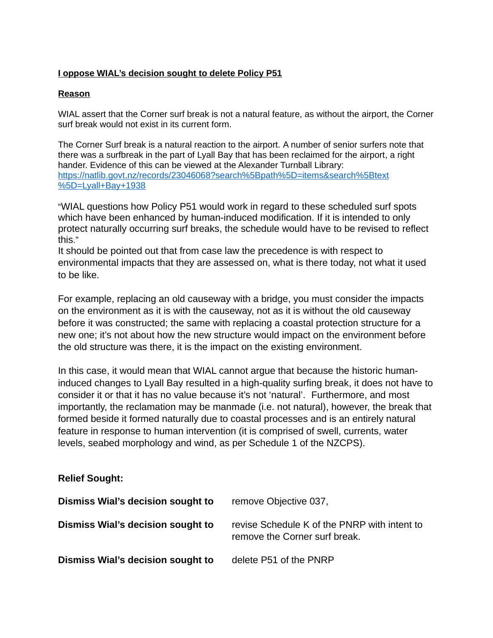### **I oppose WIAL's decision sought to delete Policy P51**

#### **Reason**

WIAL assert that the Corner surf break is not a natural feature, as without the airport, the Corner surf break would not exist in its current form.

The Corner Surf break is a natural reaction to the airport. A number of senior surfers note that there was a surfbreak in the part of Lyall Bay that has been reclaimed for the airport, a right hander. Evidence of this can be viewed at the Alexander Turnball Library: [https://natlib.govt.nz/records/23046068?search%5Bpath%5D=items&search%5Btext](https://natlib.govt.nz/records/23046068?search%5Bpath%5D=items&search%5Btext%5D=Lyall+Bay+1938) [%5D=Lyall+Bay+1938](https://natlib.govt.nz/records/23046068?search%5Bpath%5D=items&search%5Btext%5D=Lyall+Bay+1938)

"WIAL questions how Policy P51 would work in regard to these scheduled surf spots which have been enhanced by human-induced modification. If it is intended to only protect naturally occurring surf breaks, the schedule would have to be revised to reflect this."

It should be pointed out that from case law the precedence is with respect to environmental impacts that they are assessed on, what is there today, not what it used to be like.

For example, replacing an old causeway with a bridge, you must consider the impacts on the environment as it is with the causeway, not as it is without the old causeway before it was constructed; the same with replacing a coastal protection structure for a new one; it's not about how the new structure would impact on the environment before the old structure was there, it is the impact on the existing environment.

In this case, it would mean that WIAL cannot argue that because the historic humaninduced changes to Lyall Bay resulted in a high-quality surfing break, it does not have to consider it or that it has no value because it's not 'natural'. Furthermore, and most importantly, the reclamation may be manmade (i.e. not natural), however, the break that formed beside it formed naturally due to coastal processes and is an entirely natural feature in response to human intervention (it is comprised of swell, currents, water levels, seabed morphology and wind, as per Schedule 1 of the NZCPS).

## **Relief Sought:**

| Dismiss Wial's decision sought to | remove Objective 037,                                                         |
|-----------------------------------|-------------------------------------------------------------------------------|
| Dismiss Wial's decision sought to | revise Schedule K of the PNRP with intent to<br>remove the Corner surf break. |
| Dismiss Wial's decision sought to | delete P51 of the PNRP                                                        |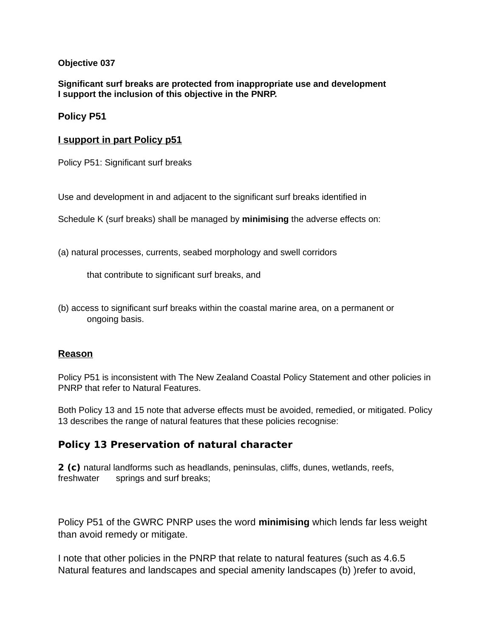### **Objective 037**

**Significant surf breaks are protected from inappropriate use and development I support the inclusion of this objective in the PNRP.**

**Policy P51**

### **I support in part Policy p51**

Policy P51: Significant surf breaks

Use and development in and adjacent to the significant surf breaks identified in

Schedule K (surf breaks) shall be managed by **minimising** the adverse effects on:

(a) natural processes, currents, seabed morphology and swell corridors

that contribute to significant surf breaks, and

(b) access to significant surf breaks within the coastal marine area, on a permanent or ongoing basis.

### **Reason**

Policy P51 is inconsistent with The New Zealand Coastal Policy Statement and other policies in PNRP that refer to Natural Features.

Both Policy 13 and 15 note that adverse effects must be avoided, remedied, or mitigated. Policy 13 describes the range of natural features that these policies recognise:

# **Policy 13 Preservation of natural character**

**2 (c)** natural landforms such as headlands, peninsulas, cliffs, dunes, wetlands, reefs, freshwater springs and surf breaks;

Policy P51 of the GWRC PNRP uses the word **minimising** which lends far less weight than avoid remedy or mitigate.

I note that other policies in the PNRP that relate to natural features (such as 4.6.5 Natural features and landscapes and special amenity landscapes (b) )refer to avoid,